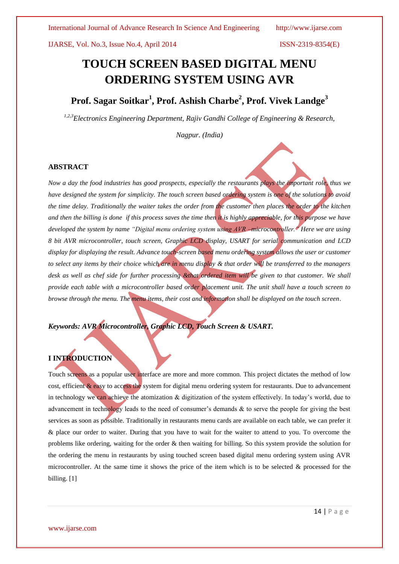# **TOUCH SCREEN BASED DIGITAL MENU ORDERING SYSTEM USING AVR**

# **Prof. Sagar Soitkar<sup>1</sup> , Prof. Ashish Charbe<sup>2</sup> , Prof. Vivek Landge<sup>3</sup>**

*1,2,3Electronics Engineering Department, Rajiv Gandhi College of Engineering & Research,*

*Nagpur. (India)* 

#### **ABSTRACT**

*Now a day the food industries has good prospects, especially the restaurants plays the important role, thus we have designed the system for simplicity. The touch screen based ordering system is one of the solutions to avoid the time delay. Traditionally the waiter takes the order from the customer then places the order to the kitchen and then the billing is done if this process saves the time then it is highly appreciable, for this purpose we have developed the system by name "Digital menu ordering system using AVR –microcontroller." Here we are using 8 bit AVR microcontroller, touch screen, Graphic LCD display, USART for serial communication and LCD display for displaying the result. Advance touch-screen based menu ordering system allows the user or customer to select any items by their choice which are in menu display & that order will be transferred to the managers desk as well as chef side for further processing &that ordered item will be given to that customer. We shall provide each table with a microcontroller based order placement unit. The unit shall have a touch screen to browse through the menu. The menu items, their cost and information shall be displayed on the touch screen.*

*Keywords: AVR Microcontroller, Graphic LCD, Touch Screen & USART.*

## **I INTRODUCTION**

Touch screens as a popular user interface are more and more common. This project dictates the method of low cost, efficient & easy to access the system for digital menu ordering system for restaurants. Due to advancement in technology we can achieve the atomization & digitization of the system effectively. In today's world, due to advancement in technology leads to the need of consumer's demands & to serve the people for giving the best services as soon as possible. Traditionally in restaurants menu cards are available on each table, we can prefer it & place our order to waiter. During that you have to wait for the waiter to attend to you. To overcome the problems like ordering, waiting for the order & then waiting for billing. So this system provide the solution for the ordering the menu in restaurants by using touched screen based digital menu ordering system using AVR microcontroller. At the same time it shows the price of the item which is to be selected  $\&$  processed for the billing. [1]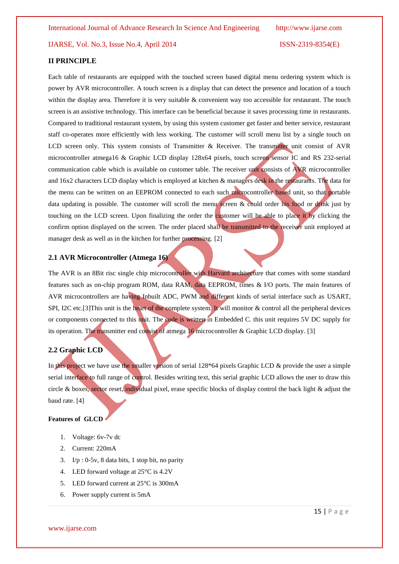#### **II PRINCIPLE**

Each table of restaurants are equipped with the touched screen based digital menu ordering system which is power by AVR microcontroller. A touch screen is a display that can detect the presence and location of a touch within the display area. Therefore it is very suitable & convenient way too accessible for restaurant. The touch screen is an assistive technology. This interface can be beneficial because it saves processing time in restaurants. Compared to traditional restaurant system, by using this system customer get faster and better service, restaurant staff co-operates more efficiently with less working. The customer will scroll menu list by a single touch on LCD screen only. This system consists of Transmitter & Receiver. The transmitter unit consist of AVR microcontroller atmega16 & Graphic LCD display 128x64 pixels, touch screen sensor IC and RS 232-serial communication cable which is available on customer table. The receiver unit consists of AVR microcontroller and 16x2 characters LCD display which is employed at kitchen & managers desk in the restaurants. The data for the menu can be written on an EEPROM connected to each such microcontroller based unit, so that portable data updating is possible. The customer will scroll the menu screen & could order his food or drink just by touching on the LCD screen. Upon finalizing the order the customer will be able to place it by clicking the confirm option displayed on the screen. The order placed shall be transmitted to the receiver unit employed at manager desk as well as in the kitchen for further processing. [2]

#### **2.1 AVR Microcontroller (Atmega 16)**

The AVR is an 8Bit risc single chip microcontroller with Harvard architecture that comes with some standard features such as on-chip program ROM, data RAM, data EEPROM, times & I/O ports. The main features of AVR microcontrollers are having Inbuilt ADC, PWM and different kinds of serial interface such as USART, SPI, I2C etc.[3]This unit is the heart of the complete system. It will monitor & control all the peripheral devices or components connected to this unit. The code is written in Embedded C. this unit requires 5V DC supply for its operation. The transmitter end consist of atmega 16 microcontroller & Graphic LCD display. [3]

#### **2.2 Graphic LCD**

In this project we have use the smaller version of serial 128\*64 pixels Graphic LCD & provide the user a simple serial interface to full range of control. Besides writing text, this serial graphic LCD allows the user to draw this circle & boxes, sector reset, individual pixel, erase specific blocks of display control the back light & adjust the baud rate. [4]

#### **Features of GLCD**

- 1. Voltage: 6v-7v dc
- 2. Current: 220mA
- 3. I/p : 0-5v, 8 data bits, 1 stop bit, no parity
- 4. LED forward voltage at 25°C is 4.2V
- 5. LED forward current at  $25^{\circ}$ C is 300mA
- 6. Power supply current is 5mA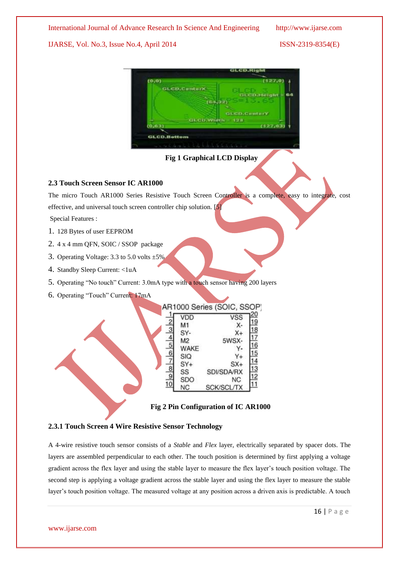#### International Journal of Advance Research In Science And Engineering http://www.ijarse.com

#### IJARSE, Vol. No.3, Issue No.4, April 2014 ISSN-2319-8354(E)



**Fig 1 Graphical LCD Display**

#### **2.3 Touch Screen Sensor IC AR1000**

The micro Touch AR1000 Series Resistive Touch Screen Controller is a complete, easy to integrate, cost

effective, and universal touch screen controller chip solution. [5]

Special Features :

- 1. 128 Bytes of user EEPROM
- 2. 4 x 4 mm QFN, SOIC / SSOP package
- 3. Operating Voltage: 3.3 to 5.0 volts ±5%
- 4. Standby Sleep Current: <1uA
- 5. Operating "No touch" Current: 3.0mA type with a touch sensor having 200 layers
- 6. Operating "Touch" Current: 17mA



 **Fig 2 Pin Configuration of IC AR1000**

#### **2.3.1 Touch Screen 4 Wire Resistive Sensor Technology**

A 4-wire resistive touch sensor consists of a *Stable* and *Flex* layer, electrically separated by spacer dots. The layers are assembled perpendicular to each other. The touch position is determined by first applying a voltage gradient across the flex layer and using the stable layer to measure the flex layer's touch position voltage. The second step is applying a voltage gradient across the stable layer and using the flex layer to measure the stable layer's touch position voltage. The measured voltage at any position across a driven axis is predictable. A touch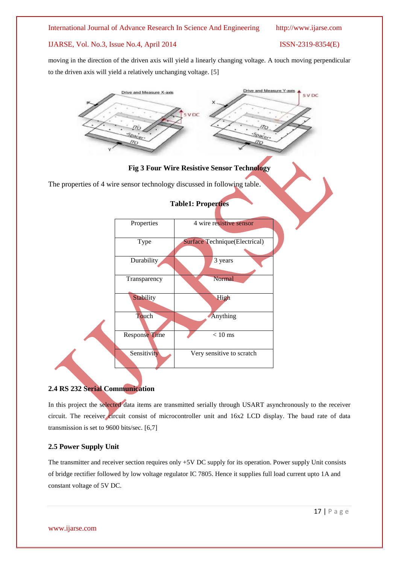#### International Journal of Advance Research In Science And Engineering http://www.ijarse.com

### IJARSE, Vol. No.3, Issue No.4, April 2014 ISSN-2319-8354(E)

moving in the direction of the driven axis will yield a linearly changing voltage. A touch moving perpendicular to the driven axis will yield a relatively unchanging voltage. [5]



#### **2.4 RS 232 Serial Communication**

In this project the selected data items are transmitted serially through USART asynchronously to the receiver circuit. The receiver circuit consist of microcontroller unit and 16x2 LCD display. The baud rate of data transmission is set to 9600 bits/sec. [6,7]

#### **2.5 Power Supply Unit**

The transmitter and receiver section requires only +5V DC supply for its operation. Power supply Unit consists of bridge rectifier followed by low voltage regulator IC 7805. Hence it supplies full load current upto 1A and constant voltage of 5V DC.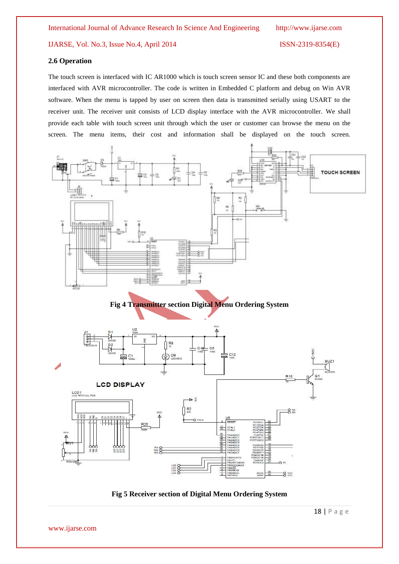#### **2.6 Operation**

The touch screen is interfaced with IC AR1000 which is touch screen sensor IC and these both components are interfaced with AVR microcontroller. The code is written in Embedded C platform and debug on Win AVR software. When the menu is tapped by user on screen then data is transmitted serially using USART to the receiver unit. The receiver unit consists of LCD display interface with the AVR microcontroller. We shall provide each table with touch screen unit through which the user or customer can browse the menu on the screen. The menu items, their cost and information shall be displayed on the touch screen.



#### **Fig 4 Transmitter section Digital Menu Ordering System**



**Fig 5 Receiver section of Digital Menu Ordering System**

18 | P a g e

www.ijarse.com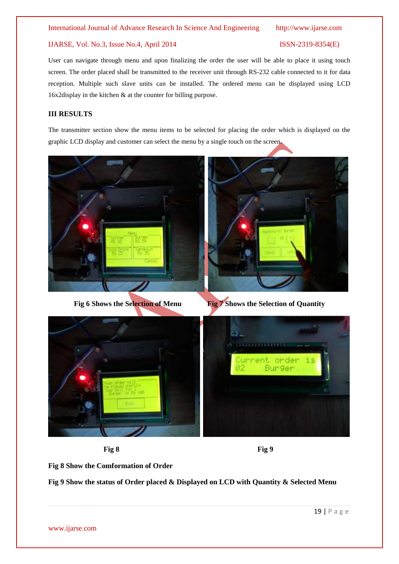#### International Journal of Advance Research In Science And Engineering http://www.ijarse.com

#### IJARSE, Vol. No.3, Issue No.4, April 2014 ISSN-2319-8354(E)

User can navigate through menu and upon finalizing the order the user will be able to place it using touch screen. The order placed shall be transmitted to the receiver unit through RS-232 cable connected to it for data reception. Multiple such slave units can be installed. The ordered menu can be displayed using LCD 16x2display in the kitchen & at the counter for billing purpose.

### **III RESULTS**

The transmitter section show the menu items to be selected for placing the order which is displayed on the graphic LCD display and customer can select the menu by a single touch on the screen.



**Fig 6** Shows the Selection of Menu Fig 7 Shows the Selection of Quantity



**Fig 8** Fig 9



**Fig 8 Show the Comformation of Order**

**Fig 9 Show the status of Order placed & Displayed on LCD with Quantity & Selected Menu**